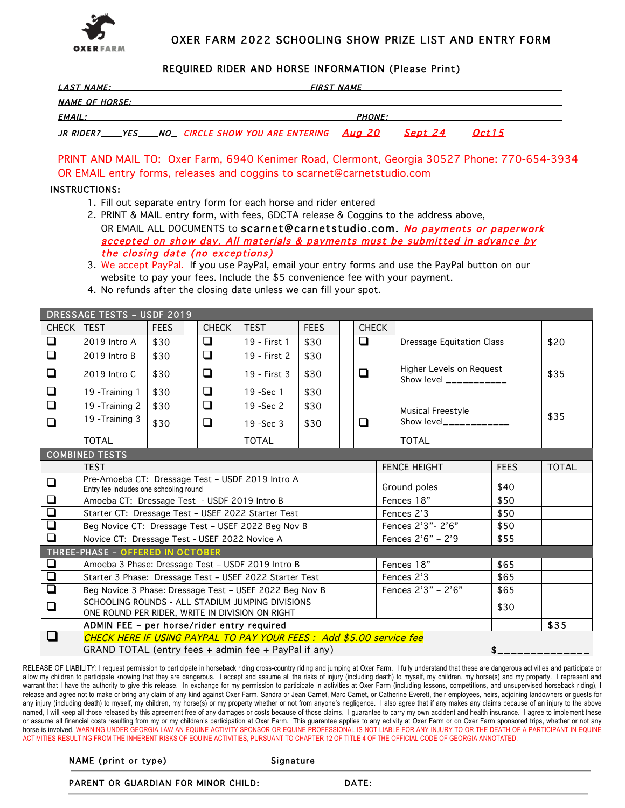

# OXER FARM 2022 SCHOOLING SHOW PRIZE LIST AND ENTRY FORM

# REQUIRED RIDER AND HORSE INFORMATION (Please Print)

| <i><b>LAST NAME:</b></i> |  |                                                              | <b>FIRST NAME</b> |         |               |  |  |  |  |  |
|--------------------------|--|--------------------------------------------------------------|-------------------|---------|---------------|--|--|--|--|--|
| <b>NAME OF HORSE:</b>    |  |                                                              |                   |         |               |  |  |  |  |  |
| <i><b>EMAIL:</b></i>     |  |                                                              | <b>PHONE:</b>     |         |               |  |  |  |  |  |
|                          |  | JR RIDER?____YES____NO__ CIRCLE SHOW YOU ARE ENTERING Aug 20 |                   | Sept 24 | <i>Oct 15</i> |  |  |  |  |  |

PRINT AND MAIL TO: Oxer Farm, 6940 Kenimer Road, Clermont, Georgia 30527 Phone: 770-654-3934 OR EMAIL entry forms, releases and coggins to scarnet@carnetstudio.com

## INSTRUCTIONS:

- 1. Fill out separate entry form for each horse and rider entered
- 2. PRINT & MAIL entry form, with fees, GDCTA release & Coggins to the address above, OR EMAIL ALL DOCUMENTS to scarnet@carnetstudio.com. No payments or paperwork accepted on show day. All materials & payments must be submitted in advance by the closing date (no exceptions)
- 3. We accept PayPal. If you use PayPal, email your entry forms and use the PayPal button on our website to pay your fees. Include the \$5 convenience fee with your payment.
- 4. No refunds after the closing date unless we can fill your spot.

| <b>DRESSAGE TESTS - USDF 2019</b> |                                                                                                                                     |                                   |  |              |                                  |             |                   |                      |                                                     |                          |              |  |
|-----------------------------------|-------------------------------------------------------------------------------------------------------------------------------------|-----------------------------------|--|--------------|----------------------------------|-------------|-------------------|----------------------|-----------------------------------------------------|--------------------------|--------------|--|
| <b>CHECK</b>                      | <b>TEST</b>                                                                                                                         | <b>FEES</b>                       |  | <b>CHECK</b> | <b>TEST</b>                      | <b>FEES</b> |                   | <b>CHECK</b>         |                                                     |                          |              |  |
| ❏                                 | 2019 Intro A                                                                                                                        | ❏<br>\$30<br>19 - First 1<br>\$30 |  | ❏            | <b>Dressage Equitation Class</b> |             |                   | \$20                 |                                                     |                          |              |  |
| $\Box$                            | 2019 Intro B                                                                                                                        | \$30                              |  | $\Box$       | 19 - First 2                     | \$30        |                   |                      |                                                     |                          |              |  |
| Q                                 | $\Box$<br>❏<br>\$30<br>19 - First 3<br>\$30<br>2019 Intro C                                                                         |                                   |  |              |                                  |             |                   |                      | Higher Levels on Request<br>Show level ____________ |                          | \$35         |  |
| $\Box$                            | 19 - Training 1                                                                                                                     | \$30                              |  | ❏            | 19 - Sec 1                       | \$30        |                   |                      |                                                     |                          |              |  |
| $\Box$                            | ❏<br>\$30<br>\$30<br>19 - Training 2<br>19 - Sec 2<br>Musical Freestyle                                                             |                                   |  |              |                                  |             |                   |                      |                                                     |                          |              |  |
| $\Box$                            | 19 - Training 3                                                                                                                     | \$30                              |  | $\Box$       | $19 - Sec$ 3                     | \$30        |                   | $\Box$               |                                                     | Show $level_{---------}$ | \$35         |  |
|                                   | <b>TOTAL</b>                                                                                                                        |                                   |  |              | <b>TOTAL</b>                     |             |                   |                      |                                                     | <b>TOTAL</b>             |              |  |
| <b>COMBINED TESTS</b>             |                                                                                                                                     |                                   |  |              |                                  |             |                   |                      |                                                     |                          |              |  |
|                                   | <b>TEST</b>                                                                                                                         |                                   |  |              |                                  |             |                   |                      | <b>FENCE HEIGHT</b><br><b>FEES</b>                  |                          | <b>TOTAL</b> |  |
| $\Box$                            | Pre-Amoeba CT: Dressage Test - USDF 2019 Intro A<br>Entry fee includes one schooling round                                          |                                   |  |              |                                  |             |                   | Ground poles<br>\$40 |                                                     |                          |              |  |
| $\Box$                            | Amoeba CT: Dressage Test - USDF 2019 Intro B                                                                                        |                                   |  |              |                                  |             |                   | Fences 18"           | \$50                                                |                          |              |  |
| $\Box$                            | Starter CT: Dressage Test - USEF 2022 Starter Test                                                                                  |                                   |  |              |                                  |             | Fences 2'3        | \$50                 |                                                     |                          |              |  |
| $\Box$                            | Beg Novice CT: Dressage Test - USEF 2022 Beg Nov B                                                                                  |                                   |  |              |                                  |             | Fences 2'3"- 2'6" |                      | \$50                                                |                          |              |  |
| $\overline{\square}$              | Novice CT: Dressage Test - USEF 2022 Novice A                                                                                       |                                   |  |              |                                  |             |                   | Fences $2'6'' - 2'9$ | \$55                                                |                          |              |  |
| THREE-PHASE - OFFERED IN OCTOBER  |                                                                                                                                     |                                   |  |              |                                  |             |                   |                      |                                                     |                          |              |  |
| Q                                 | Amoeba 3 Phase: Dressage Test - USDF 2019 Intro B                                                                                   |                                   |  |              |                                  |             |                   | Fences 18"           | \$65                                                |                          |              |  |
| $\Box$                            | Starter 3 Phase: Dressage Test - USEF 2022 Starter Test                                                                             |                                   |  |              |                                  |             | Fences 2'3        |                      | \$65                                                |                          |              |  |
| $\Box$                            | Beg Novice 3 Phase: Dressage Test - USEF 2022 Beg Nov B<br>Fences 2'3" - 2'6"                                                       |                                   |  |              |                                  |             |                   | \$65                 |                                                     |                          |              |  |
| $\Box$                            | SCHOOLING ROUNDS - ALL STADIUM JUMPING DIVISIONS<br>ONE ROUND PER RIDER, WRITE IN DIVISION ON RIGHT                                 |                                   |  |              |                                  |             |                   |                      | \$30                                                |                          |              |  |
|                                   | ADMIN FEE - per horse/rider entry required                                                                                          |                                   |  |              |                                  |             |                   |                      | \$35                                                |                          |              |  |
| $\overline{\phantom{a}}$          | CHECK HERE IF USING PAYPAL TO PAY YOUR FEES : Add \$5.00 service fee<br>\$.<br>GRAND TOTAL (entry fees + admin fee + PayPal if any) |                                   |  |              |                                  |             |                   |                      |                                                     |                          |              |  |

RELEASE OF LIABILITY: I request permission to participate in horseback riding cross-country riding and jumping at Oxer Farm. I fully understand that these are dangerous activities and participate or allow my children to participate knowing that they are dangerous. I accept and assume all the risks of injury (including death) to myself, my children, my horse(s) and my property. I represent and warrant that I have the authority to give this release. In exchange for my permission to participate in activities at Oxer Farm (including lessons, competitions, and unsupervised horseback riding), I release and agree not to make or bring any claim of any kind against Oxer Farm, Sandra or Jean Carnet, Marc Carnet, or Catherine Everett, their employees, heirs, adjoining landowners or guests for any injury (including death) to myself, my children, my horse(s) or my property whether or not from anyone's negligence. I also agree that if any makes any claims because of an injury to the above named, I will keep all those released by this agreement free of any damages or costs because of those claims. I guarantee to carry my own accident and health insurance. I agree to implement these or assume all financial costs resulting from my or my children's participation at Oxer Farm. This guarantee applies to any activity at Oxer Farm or on Oxer Farm sponsored trips, whether or not any horse is involved. WARNING UNDER GEORGIA LAW AN EQUINE ACTIVITY SPONSOR OR EQUINE PROFESSIONAL IS NOT LIABLE FOR ANY INJURY TO OR THE DEATH OF A PARTICIPANT IN EQUINE ACTIVITIES RESULTING FROM THE INHERENT RISKS OF EQUINE ACTIVITIES, PURSUANT TO CHAPTER 12 OF TITLE 4 OF THE OFFICIAL CODE OF GEORGIA ANNOTATED.

#### NAME (print or type) Signature

PARENT OR GUARDIAN FOR MINOR CHILD: DATE: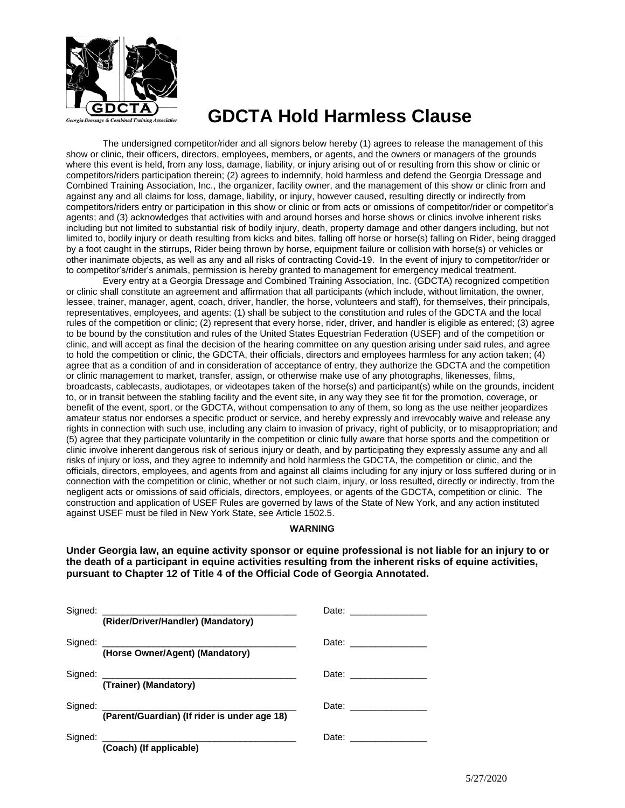

# **GDCTA Hold Harmless Clause**

The undersigned competitor/rider and all signors below hereby (1) agrees to release the management of this show or clinic, their officers, directors, employees, members, or agents, and the owners or managers of the grounds where this event is held, from any loss, damage, liability, or injury arising out of or resulting from this show or clinic or competitors/riders participation therein; (2) agrees to indemnify, hold harmless and defend the Georgia Dressage and Combined Training Association, Inc., the organizer, facility owner, and the management of this show or clinic from and against any and all claims for loss, damage, liability, or injury, however caused, resulting directly or indirectly from competitors/riders entry or participation in this show or clinic or from acts or omissions of competitor/rider or competitor's agents; and (3) acknowledges that activities with and around horses and horse shows or clinics involve inherent risks including but not limited to substantial risk of bodily injury, death, property damage and other dangers including, but not limited to, bodily injury or death resulting from kicks and bites, falling off horse or horse(s) falling on Rider, being dragged by a foot caught in the stirrups, Rider being thrown by horse, equipment failure or collision with horse(s) or vehicles or other inanimate objects, as well as any and all risks of contracting Covid-19. In the event of injury to competitor/rider or to competitor's/rider's animals, permission is hereby granted to management for emergency medical treatment.

Every entry at a Georgia Dressage and Combined Training Association, Inc. (GDCTA) recognized competition or clinic shall constitute an agreement and affirmation that all participants (which include, without limitation, the owner, lessee, trainer, manager, agent, coach, driver, handler, the horse, volunteers and staff), for themselves, their principals, representatives, employees, and agents: (1) shall be subject to the constitution and rules of the GDCTA and the local rules of the competition or clinic; (2) represent that every horse, rider, driver, and handler is eligible as entered; (3) agree to be bound by the constitution and rules of the United States Equestrian Federation (USEF) and of the competition or clinic, and will accept as final the decision of the hearing committee on any question arising under said rules, and agree to hold the competition or clinic, the GDCTA, their officials, directors and employees harmless for any action taken; (4) agree that as a condition of and in consideration of acceptance of entry, they authorize the GDCTA and the competition or clinic management to market, transfer, assign, or otherwise make use of any photographs, likenesses, films, broadcasts, cablecasts, audiotapes, or videotapes taken of the horse(s) and participant(s) while on the grounds, incident to, or in transit between the stabling facility and the event site, in any way they see fit for the promotion, coverage, or benefit of the event, sport, or the GDCTA, without compensation to any of them, so long as the use neither jeopardizes amateur status nor endorses a specific product or service, and hereby expressly and irrevocably waive and release any rights in connection with such use, including any claim to invasion of privacy, right of publicity, or to misappropriation; and (5) agree that they participate voluntarily in the competition or clinic fully aware that horse sports and the competition or clinic involve inherent dangerous risk of serious injury or death, and by participating they expressly assume any and all risks of injury or loss, and they agree to indemnify and hold harmless the GDCTA, the competition or clinic, and the officials, directors, employees, and agents from and against all claims including for any injury or loss suffered during or in connection with the competition or clinic, whether or not such claim, injury, or loss resulted, directly or indirectly, from the negligent acts or omissions of said officials, directors, employees, or agents of the GDCTA, competition or clinic. The construction and application of USEF Rules are governed by laws of the State of New York, and any action instituted against USEF must be filed in New York State, see Article 1502.5.

## **WARNING**

**Under Georgia law, an equine activity sponsor or equine professional is not liable for an injury to or the death of a participant in equine activities resulting from the inherent risks of equine activities, pursuant to Chapter 12 of Title 4 of the Official Code of Georgia Annotated.**

| Signed: (Rider/Driver/Handler) (Mandatory)   |            |
|----------------------------------------------|------------|
| Signed: (Horse Owner/Agent) (Mandatory)      | Date: 2000 |
| (Trainer) (Mandatory)                        | Date: 2000 |
| (Parent/Guardian) (If rider is under age 18) |            |
| (Coach) (If applicable)                      |            |